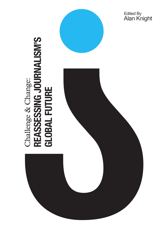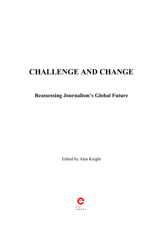# **CHALLENGE AND CHANGE**

**Reassessing Journalism's Global Future**

Edited by Alan Knight

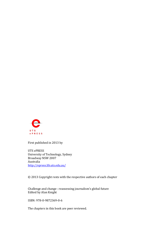

First published in 2013 by

UTS ePRESS University of Technology, Sydney Broadway NSW 2007 Australia <http://epress.lib.uts.edu.au/>

© 2013 Copyright rests with the respective authors of each chapter

Challenge and change : reassessing journalism's global future Edited by Alan Knight

ISBN: 978-0-9872369-0-6

The chapters in this book are peer reviewed.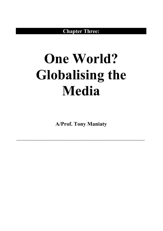**Chapter Three:**

# **One World? Globalising the Media**

**A/Prof. Tony Maniaty**

**––––––––––––––––––––––––––––––––––––––––––––––––––––––––––––––––––**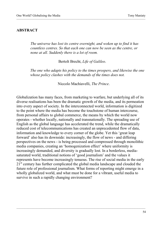#### **ABSTRACT**

*The universe has lost its centre overnight, and woken up to find it has countless centres. So that each one can now be seen as the centre, or none at all. Suddenly there is a lot of room.*

–––––––––––––––––––––––––––––––––––––––––––––––––––––––––––––––––––––––––––––––––––

Bertolt Brecht, *Life of Galileo*.

*The one who adapts his policy to the times prospers, and likewise the one whose policy clashes with the demands of the times does not.* 

Niccolo Machiavelli, *The Prince*.

Globalization has many faces, from marketing to warfare, but underlying all of its diverse realisations has been the dramatic growth of the media, and its permeation into every aspect of society. In the interconnected world, information is digitized to the point where the media has become the touchstone of human intercourse, from personal affairs to global commerce, the means by which the world now operates - whether locally, nationally and transnationally. The spreading use of English as the global language has accelerated the trend, while the dramatically reduced cost of telecommunications has created an unprecedented flow of data, information and knowledge to every corner of the globe. Yet this 'great leap forward' also has its downside: increasingly, the flow of news - and differing perspectives on the news - is being processed and compressed through monolithic media companies, creating an 'homogenization effect' where uniformity is increasingly demanded, and diversity is gradually lost. In a borderless, mediasaturated world, traditional notions of 'good journalism' and the values it represents have become increasingly tenuous. The rise of social media in the early 2<sup>1st</sup> century has further complicated the global media landscape and clouded the future role of professional journalism. What forms of reporting might emerge in a wholly globalized world, and what must be done for a vibrant, useful media to survive in such a rapidly changing environment?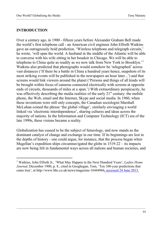#### **INTRODUCTION**

 $\overline{a}$ 

Over a century ago, in 1900 - fifteen years before Alexander Graham Bell made the world's first telephone call - an American civil engineer John Elfreth Watkins gave an outrageously bold prediction. 'Wireless telephone and telegraph circuits,' he wrote, 'will span the world. A husband in the middle of the Atlantic will be able to converse with his wife sitting in her boudoir in Chicago. We will be able to telephone to China quite as readily as we now talk from New York to Brooklyn.'[1](#page-5-0) Watkins also predicted that photographs would somehow be 'telegraphed' across vast distances ('If there be a battle in China a hundred years hence, snapshots of its most striking events will be published in the newspapers an hour later...') and that screens would link viewers around the planet ('Persons and things of all kinds will be brought within focus of cameras connected electrically with screens at opposite ends of circuits, thousands of miles at a span.') With extraordinary perspicacity, he was effectively describing the media realities of the early  $21<sup>st</sup>$  century: the mobile phone, the Web, email and the Internet, Skype and social media. In 1960, when these inventions were still only concepts, the Canadian sociologist Marshall McLuhan coined the phrase 'the global village', similarly envisaging a world linked via 'electronic interdependence', sharing cultures and ideas across the majority of nations. In the Information and Computer Technology (ICT) era of the late 1990s, these visions became a reality.

–––––––––––––––––––––––––––––––––––––––––––––––––––––––––––––––––––––––––––––––––––

Globalization has ceased to be the subject of futurology, and now stands as the dominant catalyst of change and exchange in our time. If its beginnings are lost in the depths of history - one could argue, for instance, that the process began when Magellan's expedition ships circumnavigated the globe in 1519-22 – its impacts are now being felt in fundamental ways across all nations and human societies, and

<span id="page-5-0"></span><sup>1</sup> Watkins, John Elfreth Jr., 'What May Happen in the Next Hundred Years', *Ladies Home Journal*, December 1900, p. 8., cited in Geoghegan, Tom, 'Ten 100-year predictions that came true', at http://www.bbc.co.uk/news/magazine-16444966, accessed 24 June 2013.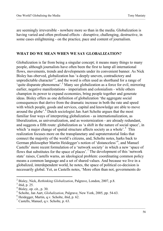are seemingly irreversible - nowhere more so than in the media. Globalization is having varied and often profound effects - disruptive, challenging, destructive, in some cases enlightening - on the practice, pace and content of journalism.

–––––––––––––––––––––––––––––––––––––––––––––––––––––––––––––––––––––––––––––––––––

#### **WHAT DO WE MEAN WHEN WE SAY GLOBALIZATION?**

Globalization is far from being a singular concept; it means many things to many people, although journalists have often been the first to lump all international flows, movements, trends and developments under its convenient banner. As Nick Bisley has oberved, globalization has 'a deeply uneven, contradictory and unpredictable character<sup>[2](#page-6-0)</sup>, and the word is often used as shorthand for a range of 'quite disparate phenomena'.[3](#page-6-1) Many see globalization as a force for evil, mirroring earlier, negative manifestations - imperialism and colonialism - while others champion its power to expand economies, bring people together and generate ideas. Bisley offers as one definition of globalization 'the aggregate social consequences that derive from the dramatic increase in both the rate and speed with which people, goods and services, capital and knowledge are able to move around the globe'.[4](#page-6-2) Dutch sociologist Jan Aart Scholte argues that the most familiar four ways of interpreting globalization - as internationalization, as liberalization, as universalization, and as westernization - are already redundant, and suggests a fifth route: globalization as 'a shift in the nature of social space', in which 'a major change of spatial structure affects society as a whole'.<sup>[5](#page-6-3)</sup> This realization focuses more on the transplanetary and supraterratorial links that connect the majority of the world's citizens, and, Scholte notes, harks back to German philosopher Martin Heidegger's notion of 'distanceless'<sup>[6](#page-6-4)</sup>, and Manuel Castells' more recent formulation of a 'network society' in which a new 'space of flows that substitutes for the space of places'.[7](#page-6-5) The development of this 'network state' raises, Castells warns, an ideological problem: coordinating common policy means a common language and a set of shared values. And because we live in a globalized, interdependent world, he notes, the space of political co-decision is necessarily global. Yet, as Castells notes, 'More often than not, governments do

 $\overline{a}$ 

<span id="page-6-0"></span><sup>2</sup> Bisley, Nick, *Rethinking Globalization*, Palgrave, London, 2007, p.8. <sup>3</sup> ibid, p. 25.

<span id="page-6-2"></span><span id="page-6-1"></span><sup>4</sup> Bisley, op. cit., p. 30.

<span id="page-6-3"></span><sup>5</sup> Scholte, Jan Aart, *Globalization*, Palgrave, New York, 2005, pp. 54-63. 6 Heidegger, Martin, q.v. Scholte, ibid, p. 62.

<span id="page-6-4"></span>

<span id="page-6-5"></span><sup>7</sup> Castells, Manuel, q.v. Scholte, p. 63.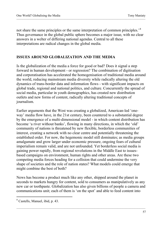not share the same principles or the same interpretation of common principles.<sup>[8](#page-7-0)</sup> Thus governance in the global public sphere becomes a major issue, with no clear answers in a welter of differing national agendas. Central to all these interpretations are radical changes in the global media.

–––––––––––––––––––––––––––––––––––––––––––––––––––––––––––––––––––––––––––––––––––

# **ISSUES AROUND GLOBALIZATION AND THE MEDIA**

Is the globalization of the media a force for good or bad? Does it signal a step forward in human development - or regression? The combination of digitisation and corporatisation has accelerated the homogenisation of traditional media around the world, reducing mainstream media diversity while radically altering the old dynamics of trans-border data and information flows - with significant impacts on global trade, regional and national politics, and culture. Concurrently the spread of social media, particular in youth demographics, has created new distribution outlets and new forms of content, radically altering traditional concepts of journalism.

Earlier arguments that the West was creating a globalized, American-led 'oneway' media flow have, in the 21st century, been countered to a substantial degree by the emergence of a multi-dimensional model - in which content distribution has become 'a river without banks', flowing in many directions, in which the 'old' community of nations is threatened by new flexible, borderless communities of interest, creating a network with no clear centre and potentially threatening the established order. For now, the hegemonic model still dominates; as media groups amalgamate and grow larger under economic pressure, ongoing fears of cultural imperialism remain valid, and are not unfounded. Yet borderless social media is gaining power rapidly, from regional revolutions in the Middle East to issuesbased campaigns on environment, human rights and other areas. Are these two competing media forces heading for a collision that could undermine the very shape of societies and the role of nation states? What models could emerge that might combine the best of both?

News has become a product much like any other, shipped around the planet in seconds to markets hungry for content, sold to consumers as manipulatively as any new car or toothpaste. Globalization has also given billions of people a camera and communications unit; each of them is 'on the spot' and able to feed content into

<span id="page-7-0"></span><sup>&</sup>lt;sup>8</sup> Castells, Manuel, ibid, p. 43.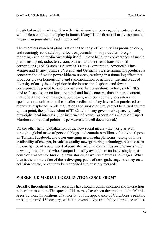the global media machine. Given the rise in amateur coverage of events, what role will professional reporters play in future, if any? Is the dream of many aspirants of 'a career in journalism' itself redundant?

–––––––––––––––––––––––––––––––––––––––––––––––––––––––––––––––––––––––––––––––––––

The relentless march of globalization in the early  $21<sup>st</sup>$  century has produced deep, and seemingly contradictory, effects on journalism - in particular, foreign reporting - and on media ownership itself. On one hand, the convergence of media platforms - print, radio, television, online - and the rise of trans-national corporations (TNCs) such as Australia's News Corporation, America's Time Warner and Disney, France's Vivendi and Germany's Bertelsmann has produced a concentration of media power hitherto unseen, resulting in a funneling effect that produces greater homogeneity and standardization of news content and reduced diversity of analysis and opinion in the international sphere, and fewer correspondents posted to foreign countries. As transnational actors, such TNCs tend to focus less on national, regional and local concerns than on news content that reflects their increasingly global reach, with considerably less interest in specific communities than the smaller media units they have often purchased or otherwise displaced. While regulations and subsidies may protect localized content up to a point, the political clout of TNCs within any given marketplace typically outweighs local interests. (The influence of News Corporation's chairman Rupert Murdoch on national politics is pervasive and well documented.)

On the other hand, globalization of the new social media - the world as seen through a global maze of personal blogs, and countless millions of individual posts on Twitter, Facebook, and other emerging new media platforms - along with the availability of cheaper, broadcast-quality newsgathering technology, has also seen the emergence of a new breed of journalist who holds no allegiance to any single news organisation and whose output is readily available to an increasingly costconscious market for breaking news stories, as well as features and images. What then is the ultimate fate of these diverging paths of newsgathering? Are they on a collision course, or can they be reconciled and possibly merged?

#### **WHERE DID MEDIA GLOBALIZATION COME FROM?**

Broadly, throughout history, societies have sought communication and interaction rather than isolation. The spread of ideas may have been thwarted until the Middle Ages by those in positions of authority, but the appearance of Gutenberg's printing press in the mid- $15<sup>th</sup>$  century, with its moveable type and ability to produce endless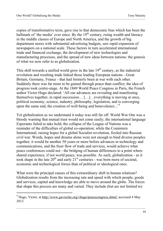copies of transformative texts, gave rise to that democratic bias which has been the hallmark of 'the media' ever since. By the  $19<sup>th</sup>$  century, rising wealth and literacy in the middle classes of Europe and North America, and the growth of big department stores with substantial advertising budgets, saw rapid expansion of newspapers on a national scale. These factors in turn accelerated international trade and financial exchange, the development of new technologies and manufacturing processes, and the spread of new ideas between nations: the genesis of what we now refer to as globalization.

–––––––––––––––––––––––––––––––––––––––––––––––––––––––––––––––––––––––––––––––––––

This shift towards a unified world grew in the late  $19<sup>th</sup>$  century, as the industrial revolution and resulting trade linked those leading European nations - Great Britain, Germany, France - that had formerly been at war with each other. Suddenly there was far more to be gained through peace than conflict; the idea of progress took centre-stage. At the 1849 World Peace Congress in Paris, the French author Victor Hugo declared: 'All our advances are revealing and manifesting themselves together, in rapid succession… […]…everything is moving at once, political economy, science, industry, philosophy, legislation, and is converging upon the same end, the creation of well-being and benevolence...'<sup>[9](#page-9-0)</sup>

Yet globalization as we understand it today was still far off. World War One was a bloody warning that mutual trust would not come easily; the international language Esperanto failed to take hold; the collapse of the League of Nations was a reminder of the difficulties of global co-operation; while the Comintern International, raising hopes for a global Socialist revolution, fizzled into Russian civil war. Words, hopes and dreams alone were not enough to bind diverse peoples together; it would be another 50 years or more before advances in technology and communications, and the freer flow of trade and services, would achieve what peace conferences could not - the bridging of human differences to a point where shared experience, if not world peace, was possible. As such, globalization - as it took shape in the late  $20^{th}$  and early  $21^{st}$  centuries - was born more of societal, economic and technological forces than of political or ideological ones.

What were the principal causes of this extraordinary shift in human relations? Globalization results from the increasing rate and speed with which people, goods and services, capital and knowledge are able to move around the globe. The forces that shape this process are many and varied. They include (but are not limited to)

<span id="page-9-0"></span><sup>9</sup> Hugo, Victor, a[t http://www.gavroche.org/vhugo/peacecongress.shtml,](http://www.gavroche.org/vhugo/peacecongress.shtml) accessed 4 May 2013.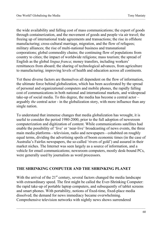the wide availability and falling cost of mass communications; the export of goods through containerization, and the movement of goods and people via air travel; the freeing up of international trade agreements and transactions; the rise in offshore manufacturing; cross-cultural marriage, migration, and the flow of refugees; military alliances; the rise of multi-national business and transnational corporations; global commodity chains; the continuing flow of populations from country to cities; the impact of worldwide religions; mass tourism; the spread of English as the global *lingua franca*; money transfers, including workers' remittances from aboard; the sharing of technological advances, from agriculture to manufacturing; improving levels of health and education across all continents.

–––––––––––––––––––––––––––––––––––––––––––––––––––––––––––––––––––––––––––––––––––

Yet these diverse factors are themselves all dependent on the flow of information, the ultimate force behind globalization, which has been accelerated by the spread of personal and organizational computers and mobile phones, the rapidly falling cost of communications in both national and international markets, and widespread take-up of social media. To this degree, the media has become a central actor – arguably *the* central actor - in the globalization story, with more influence than any single nation.

To understand that immense changes that media globalization has wrought, it is useful to consider the period 1980-2000, prior to the full adoption of newsroom computerization and digitization of content. While communications satellites had enable the possibility of 'live' or 'near-live' broadcasting of news events, the three main media platforms - television, radio and newspapers - cohabited on roughly equal terms, dividing the advertising spoils of boom economic times (in the case of Australia's Fairfax newspapers, the so-called 'rivers of gold') and assured in their market niches. The Internet was seen largely as a source of information, and a vehicle for email communications; newsroom computers, mostly desk-bound PCs, were generally used by journalists as word processors.

#### **THE SHRINKING COMPUTER AND THE SHRINKING PLANET**

With the arrival of the  $21<sup>st</sup>$  century, several factors changed the media landscape with extraordinary speed. The first might be called the Ever-Shrinking Computer: the rapid take-up of portable laptop computers, and subsequently of tablet screens and smart phones. With portability, notions of fixed-time, fixed-place media dissolved; the demand for news immediacy became overwhelming. Comprehensive television networks with nightly news shows surrendered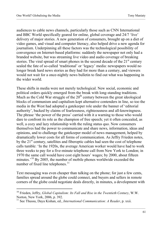audiences to cable news channels, particularly those such as CNN International and BBC World specifically geared for online, global coverage and 24/7 'live' delivery of major stories. A new generation of consumers, brought up on a diet of video games, and visual and computer literacy, also helped drive a new agenda for journalism. Underpinning all these factors was the technological possibility of convergence on Internet-based platforms: suddenly the newspaper not only had a branded website, but was streaming live video and audio coverage of breaking stories. The viral spread of smart phones in the second decade of the  $21<sup>st</sup>$  century sealed the fate of so-called 'traditional' or 'legacy' media: newspapers would no longer break hard news stories as they had for more than a century, and viewers would not wait for a once-nightly news bulletin to find out what was happening in the wider world.

–––––––––––––––––––––––––––––––––––––––––––––––––––––––––––––––––––––––––––––––––––

These shifts in media were not merely techological. New social, economic and political orders quickly emerged from the break with long-standing traditions. Much as the Cold War struggle of the  $20<sup>th</sup>$  century between the great ideological blocks of communism and capitalism kept alternative contenders in line, so too the media in the West had adopted a gatekeeper role under the banner of 'editorial authority', backed by claims of fearlessness, righteousness and all-knowingness. The phrase 'the power of the press' carried with it a warning to those who would dare to confront its role as the champion of free speech; yet it often concealed, as well, a cozy and lazy relationship with the ruling status quo. Now consumers themselves had the power to communicate and share news, information, ideas and opinions, and to challenge the gatekeeper model of news management, helped by dramatically lower costs for all forms of communication. As Jeffry Frieden notes, by the 21<sup>st</sup> century, satellites and fiberoptic cables had seen the cost of telephone calls tumble: 'In the 1920s, the average American worker would have had to work three weeks to pay for a five-minute telephone call from New York to London; in 1970 the same call would have cost eight hours' wages; by 2000, about fifteen minutes.<sup>'[10](#page-11-0)</sup> By 2005, the number of mobile phones worldwide exceeded the number of fixed line telephones.<sup>[11](#page-11-1)</sup>

Text messaging was even cheaper than talking on the phone; for just a few cents, families spread around the globe could connect, and buyers and sellers in remote corners of the globe could negotiate deals directly, in minutes, a development with

<span id="page-11-0"></span><sup>10</sup> Frieden, Jeffry, *Global Capitalism: Its Fall and Rise in the Twentieth Century*, W.W. Norton, New York, 2006, p. 392.

<span id="page-11-1"></span><sup>&</sup>lt;sup>11</sup> See Thussu, Daya Kishan, ed., *International Communication: A Reader*, p. xxii.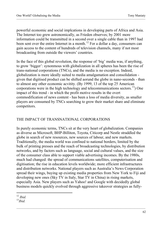powerful economic and social implcations in developing parts of Africa and Asia. The Internet too grew astronomically, as Frieden observes; by 2001 more information could be transmitted in a second over a single cable than in 1997 had been sent over the entire Internet in a month.<sup>[12](#page-12-0)</sup> For a dollar a day, consumers can gain access to the content of hundreds of television channels, many if not most broadcasting from outside the viewers' countries.

–––––––––––––––––––––––––––––––––––––––––––––––––––––––––––––––––––––––––––––––––––

In the face of this global revolution, the response of 'big' media was, if anything, to grow 'bigger': synonmous with globalization in all spheres has been the rise of trans-national corporations (TNCs), and the media is no exception. Indeed, globalization is more ideally suited to media amalgamation and consolidation given that digitised product can be shifted aorund the globe in nano-seconds - than to almost any other economic acvitity. (By 1999, 13 of the top 25 American corporations were in the high technology and telecommunications sectors.<sup>[13](#page-12-1)</sup>) One impact of this trend - in which the profit motive results in the overt commodification of news content - has been a loss of media diversity, as smaller players are consumed by TNCs searching to grow their market share and eliminate competitors.

# THE IMPACT OF TRANSNATIONAL CORPORATIONS

In purely economic terms, TNCs sit at the very heart of globalization. Companies as diverse as Microsoft, BHP-Billiton, Toyota, Citicorp and Nestle straddled the globe in search of new resources, new sources of labour, and new markets. Traditionally, the media world was confined to national borders, limited by the bulk of printing presses and the reach of broadcasting technologies, by distribution networks, and by factors such as language, social and cultural values, and the size of the consumer class able to support viable advertising incomes. By the 1980s, much had changed: the spread of communications satellites, computerisation and digitisation; the rise in education levels worldwide; more efficient infrastructures and distribution networks. National players such as Australia's News Corporation spread their wings, buying up existing media properties from New York to Fiji and developing new ones (Sky TV in Italy, Star TV in China) in rising markets, especially Asia. New players such as Yahoo! and Google with decidedly global business models quickly evolved through aggressive takeover strategies as fully-

 $\overline{a}$ 

<span id="page-12-1"></span><span id="page-12-0"></span><sup>12</sup> *Ibid.* <sup>13</sup>*Ibid.*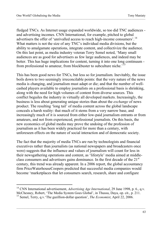fledged TNCs. As Internet usage expanded worldwide, so too did TNC audiences and advertising incomes. CNN International, for example, pitched to global advertisers the offer of 'unrivalled access to reach high-income consumers'.<sup>[14](#page-13-0)</sup> What matters is not the size of any TNC's individual media divisions, but the ability to amalgamate operations, integrate content, and collectivize the audience. On this last point, as media industry veteran Terry Semel noted, 'Many small audiences are as good for advertisers as few large audiences, and indeed may be better. This has huge implications for content, turning it into one long continuum from professional to amateur, from blockbuster to subculture niche.'[15](#page-13-1)

–––––––––––––––––––––––––––––––––––––––––––––––––––––––––––––––––––––––––––––––––––

This has been good news for TNCs, but less so for journalism. Inevitably, the issue boils down to two seemingly irreconcilable points: that the very nature of the news media is changing, and journalism must adapt or die; and that the number of wellcashed players available to employ journalists on a professional basis is shrinking, along with the need for high volumes of content from diverse sources. This conflict beguiles the industry in virtually all developed markets. Increasingly, the business is less about generating unique stories than about the *exchange* of news product. The resulting 'long tail' of media content across the global landscape conceals a harsh reality: that much of it stems from a very narrow base, and increasingly much of it is sourced from either low-paid journalism entrants or from amateurs, and not from experienced, professional journalists. On this basis, the new economics of global media may prove the undoing of the profession of journalism as it has been widely practiced for more than a century, with unforeseen effects on the nature of social interaction and of democratic society.

The fact that the majority of media TNCs are run by technologists and financial executives rather than journalists (as national newspapers and broadcasters once were) suggests that the influence and values of journalism will count for less in their newsgathering operations and content, as 'lifestyle' media aimed at middleclass consumers and advertisers gains dominance. In the first decade of the 21<sup>st</sup> century, this trend was already apparent. In a 2006 report, the global accountancy firm PriceWaterhouseCoopers predicted that successful media companies would become 'marketplaces that let consumers search, research, share and configure

<span id="page-13-1"></span><span id="page-13-0"></span><sup>14</sup> CNN International advertisement, *Advertising Age International*, 29 June 1998, p. 6., q.v. McChesney, Robert, 'The Media System Goes Global', in Thussu, Daya, op. cit., p. 211. <sup>15</sup> Semel, Terry, q.v.'The gazillion-dollar question', *The Economist*, April 22, 2006.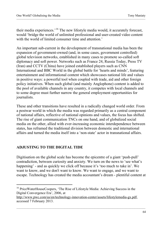their media experiences.'[16](#page-14-0) The new lifestyle media would, it accurately forecast, would 'bridge the world of unlimited professional and user-created video content with the world of limited consumer time and attention.<sup>'</sup>

–––––––––––––––––––––––––––––––––––––––––––––––––––––––––––––––––––––––––––––––––––

An important sub-current in the development of transnational media has been the expansion of government-owned (and, in some cases, government controlled) global television networks, established in many cases to promote so-called soft diplomacy and soft power. Networks such as France 24, Russia Today, Press TV (Iran) and CCTV (China) have joined established players such as CNN International and BBC World in the global battle for 'hearts and minds', featuring entertainment and informational content which showcases national life and values in positive ways: a powerful tool when coupled with trade, aid and other foreign policy initiatives. When such global (and mainly Anglophone) content is added to the pool of available channels in any country, it competes with local channels and to some degree must further narrow the general employment opportunities for journalists.

These and other transitions have resulted in a radically changed world order. From a postwar world in which the media was regarded primarily as a central component of national affairs, reflective of national opinions and values, the focus has shifted. The rise of giant communication TNCs on one hand, and of globalized social media on the other, allied with ever-increasing economic interdependence between states, has reframed the traditional division between domestic and international affairs and turned the media itself into a 'non-state' actor in transnational affairs.

# **ADJUSTING TO THE DIGITAL TIDE**

 $\overline{a}$ 

Digitisation on the global scale has become the epicentre of a giant 'push-pull' contradiction, between curiosity and anxiety. We turn on the news to 'see what's happening' - and as quickly we click off because it's 'too much to take in'. We want to know, and we don't want to know. We want to engage, and we want to escape. Technology has created the media accountant's dream - plentiful content at

<span id="page-14-0"></span><sup>&</sup>lt;sup>16</sup> PriceWaterHouseCoopers, 'The Rise of Lifestyle Media: Achieving Success in the Digital Convergence Era', 2006, at

[http://www.pwc.com/us/en/technology-innovation-center/assets/lifestylemedia-gx.pdf,](http://www.pwc.com/us/en/technology-innovation-center/assets/lifestylemedia-gx.pdf) accessed 7 February 2013.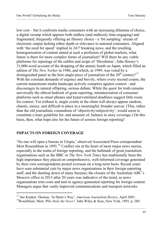low cost – but it confronts media consumers with an increasing dilemma of choice, a digital swamp which appears both endless (and endlessly time-engaging) and fragmented, frequently offering an illusory choice - a 'bit sampling' stream of electronic output lacking either depth or relevance to national consumers. Aligned with 'the need for speed' implied in 24/7 breaking news, and the resulting homogenisation of content aimed at such a profusion of global markets, what future is there for more complex forms of journalism? Will there be any viable platforms for reportage of the calibre and scope of 'Hiroshima', John Hersey's 31,000-word account of the dropping of the atomic bomb on Japan, which filled an edition of *The New Yorker* in 1946, and which, in 1999, was voted by a distinguished panel as the best single piece of journalism of the  $20<sup>th</sup>$  century?<sup>[17](#page-15-0)</sup> With the constant demands of urgency and brevity, where every second counts, the current mainstream media landscape actively conspires against context - and discourages its natural offspring, serious debate. While the quest for truth remains universally the ethical bedrock of great reporting, miniaturization of consumer platforms such as smart phones and hyperventilated deadlines suggest little room for context. Yet without it, single events in the chain will always appear random, chaotic, messy, and difficult to place in a meaningful, broader canvas. (This, rather than the old journalistic conundrum of 'objectivity/subjectivity', would seem to constitute a truer guideline for, and measure of, balance in story coverage.) On this basis, then, what hope also for the future of serious foreign reporting?

–––––––––––––––––––––––––––––––––––––––––––––––––––––––––––––––––––––––––––––––––––

# **IMPACTS ON FOREIGN COVERAGE**

 $\overline{a}$ 

'No one will open a bureau in Utopia,' observed Associated Press correpsondent Mort Rosemblum in 1993.<sup>[18](#page-15-1)</sup> Conflict sits at the heart of most major news stories, especially in the realm of foreign reporting, and the hallmark of great journalism organisations such as the BBC or *The New York Times* has traditionally been the high importance they placed on comprehensive, well-informed coverage generated by their own correspondents posted overseas on a long-term basis. Recent years have seen substantial cuts by major news organisations in their foreign reporting staff, and the shutting down of many bureaus; the closure of the Australian ABC's Moscow office in 2013 after 20 years was indicative of the trend, as news organisations trim costs and turn to agency-generated reporting for foreign content. Managers argue that vastly improved communications and transport networks

<span id="page-15-1"></span><span id="page-15-0"></span><sup>&</sup>lt;sup>17</sup> See Kunkel, Thomas, 'In Harm's Way', *American Journalism Review*, April 2003.<br><sup>18</sup>Rosenblum, Mort, *Who Stole the News?*, John Wiley & Sons, New York, 1993, p. 280.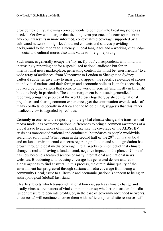provide flexibility, allowing correspondents to be flown into breaking stories as needed. Yet few would argue that the long-term presence of a correspondent in any country results in more informed, contexualized coverage, supported by a cultivated network of high-level, trusted contacts and sources providing background to the reportage. Fluency in local languages and a working knowledge of social and cultural mores also adds value to foreign reporting.

–––––––––––––––––––––––––––––––––––––––––––––––––––––––––––––––––––––––––––––––––––

Such nuances generally escape the 'fly-in, fly-out' correspondent, who in turn is increasingly reporting not for a specialized national audience but for an international news marketplace, generating content that must be 'user friendly' to a wide array of audiences, from Vancouver to London to Shanghai to Sydney. Cultural subtleties give way to mass global appeal; the specific relevance of stories to individual nations and their foreign and economic policies is, in this scenario, replaced by observations that speak to the world in general (and mostly in English) but to nobody in particular. The counter argument is that such generalized reporting brings the peoples of the world closer together, by shedding national prejudices and sharing common experiences, yet the continuation over decades of many conflicts, especially in Africa and the Middle East, suggests that this rather idealized view is degraded by realities.

Certainly in one field, the reporting of the global climate change, the transnational media model has overcome national differences to bring a common awareness of a global issue to audiences of millions. (Likewise the coverage of the AIDS/HIV crisis has transcended national and continental boundaries as people worldwide search for solutions.) What began in the second half of the  $20<sup>th</sup>$  century as local and national environmental concerns regarding pollution and soil degradation has grown through global media coverage into a largely common belief that climate change is real and having a fundamental, negative impact on the planet. 'Climate' has now become a featured section of many international and national news websites. Broadening and focusing coverage has generated debate and led to global agendas to find answers. In this process, the diminishing quality of the environment has progressed through sustained media coverage from being a community (local) issue to a lifestyle and economic (national) concern to being an anthropological (global) last stand.

Clearly subjects which transcend national borders, such as climate change and deadly viruses, are matters of vital common interest; whether transnational media (under pressure to generate profits, or, in the case of government-funded networks, to cut costs) will continue to cover them with sufficient journalistic resources will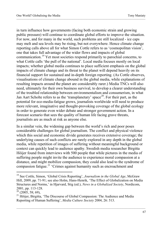in turn influence how governments (facing both economic strain and growing public pressure) will continue to coordinate global efforts to improve the situation. For now, and for many in the world, such problems are still localized - ice caps may melt and sea levels may be rising, but not everywhere. Hence climate change reporting calls above all for what Simon Cottle refers to as 'cosmopolitan vision', one that takes full advantage of the wider flows and impacts of global communication.[19](#page-17-0) Yet most societies respond primarily to parochial concerns, to what Cottle calls 'the pull of the national'. Local media focuses mostly on local impacts; whether global media continues to place sufficient emphasis on the global impacts of climate change and its threat to the planet will depend heavily on its financial support for sustained and in-depth foreign reporting. (As Cottle observes, visualisations of climate change abound in the global media, while explanations of resulting impacts around the planet are considerably rarer.) Media TNCs will also need, ultimately for their own business survival, to develop a clearer understanding of the troubled relationship between environmentalism and consumerism, in what Jan Aart Scholte refers to as the 'transplanetary' space<sup>[20](#page-17-1)</sup>. For their part, as the potential for eco-media-fatigue grows, journalists worldwide will need to produce more relevant, imaginative and thought-provoking coverage of the global ecology in order to generate even wider debate and stronger government action. In a forecast scenario that sees the quality of human life facing grave threats, journalists are as much at risk as anyone else.

–––––––––––––––––––––––––––––––––––––––––––––––––––––––––––––––––––––––––––––––––––

In a similar vein, the widening gap between the world's rich and poor poses considerable challenges for global journalism. The conflict and physical violence which this social and economic divide generates receives extensive coverage; the underlying causes of such conflicts are rarely explored in any depth in the global media, while repetition of images of suffering without meaningful background or context can quickly lead to audience apathy. Swedish media researcher Birgitta Höijer found from interviews with 500 people that while pictures in the media of suffering people might invite the audience to experience moral compassion at a distance, and might mobilize compassion, they could also lead to the syndrome of compassion fatigue.<sup>[21](#page-17-2)</sup> 'Crimes against humanity such as encroachment and

–––––––––––––––––––––––––––––––––––––––––––––––––––––––––––––––––––––––––––––––––––

<span id="page-17-0"></span><sup>&</sup>lt;sup>19</sup> See Cottle, Simon, 'Global Crisis Reporting', *Journalism in the Global Age*, McGraw Hill, 2009, pp. 71-91; see also Holm, Hans-Henrik, 'The Effect of Globalization on Media Structures and Norms,' in Hjarvard, Stig (ed.), *News in a Globalized Society*, Nordicom,

<span id="page-17-2"></span><span id="page-17-1"></span><sup>&</sup>lt;sup>20</sup> (2005, 58; 69), <sup>21</sup> Höijer, Birgitta, 'The Discourse of Global Compassion: The Audience and Media Reporting of Human Suffering', *Media Culture Society* 2004, 26: 513.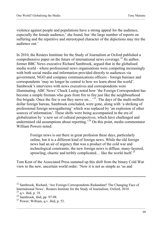violence against people and populations have a strong appeal for the audience, especially the female audience,' she found, but 'the large number of reports on suffering and the repetitive and stereotyped character of the depictions may tire the audience out.'

–––––––––––––––––––––––––––––––––––––––––––––––––––––––––––––––––––––––––––––––––––

In 2010, the Reuters Institiute for the Study of Journalism at Oxford published a comprehensive paper on the future of international news coverage.<sup>[22](#page-18-0)</sup> Its author, former BBC News executive Richard Sambrook, argued that in the globalised media world - where professional news organisations were competing increasingly with both social media and information provided directly to audiences via government, NGO and company communications officers - foreign bureaux and correspondents 'may no longer be central to how we learn about the world'. Sambrook's interviews with news executives and correspondents were illuminating. ABC News' Chuck Lustig noted how 'the Foreign Correspondent has become a simple fireman who goes from fire to fire just like the neighbourhood fire brigade. Once the fire is out they move on...<sup>23</sup>. The days of the multi-million dollar foreign bureau, Sambrook concluded, were gone, along with 'a shriking of professional foreign newsgathering' which was replaced by 'an explosion of other sources of information'. These shifts were being accompanied in the era of globalization by 'a new set of cultural perspectives, which have challenged and undermined old assumptions about reporting.<sup>[24](#page-18-2)</sup> On this point, media commentator William Powers noted:

> Foreign news is out there in great profusion these days, particularly online, but it is a different kind of foreign news. While the old foreign news had an air of urgency that was a product of the cold war and technological constraints, the new foreign news is diffuse, many-layered, sprawling, chaotic and teribly complicated… like the world itself.<sup>[25](#page-18-3)</sup>

Tom Kent of the Associated Press summed up this shift from the binary Cold War view to the new, uncertain world order: 'Now it is not as simple as 'us and

–––––––––––––––––––––––––––––––––––––––––––––––––––––––––––––––––––––––––––––––––––

<span id="page-18-1"></span><span id="page-18-0"></span><sup>&</sup>lt;sup>22</sup> Sambrook, Richard, 'Are Foreign Correspondents Redundant? The Changing Face of International News', Reuters Institute for the Study of Journalism, Oxford, 2010.<br><sup>23</sup> a.v. ibid, p. 18.

<span id="page-18-4"></span><span id="page-18-3"></span><span id="page-18-2"></span> $^{24}$  Sambrook, ibid, pp. 97-98.<br><sup>25</sup> Power, William, q.v. ibid, p. 53.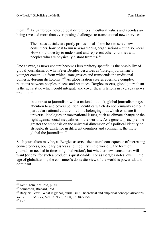them'.<sup>[26](#page-18-4)</sup> As Sambrook notes, global differences in cultural values and agendas are being revealed more than ever, posing challenges to transnational news services:

–––––––––––––––––––––––––––––––––––––––––––––––––––––––––––––––––––––––––––––––––––

The issues at stake are partly professional - how best to serve news consumers, how best to run newsgathering organisations - but also moral. How should we try to understand and represent other countries and peoples who are physically distant from  $\frac{1}{10}$  us?<sup>[27](#page-19-0)</sup>

One answer, as news content becomes less territory specific, is the possibility of global journalism, or what Peter Berglez describes as 'foreign journalism's younger cousin' - a form which 'transgresses and transcends the traditional domestic-foreign dichotomy.'[28](#page-19-1) As globalization creates evermore complex relations between peoples, places and practices, Berglez asserts, global journalism is the news style which could integrate and cover these relations in everyday news production:

> In contrast to journalism with a national outlook, global journalism pays attention to and covers political identities which do not primarily rest on a particular national culture or ethnic belonging, but which emanate from universal ideologies or transnational issues, such as climate change or the fight against social inequalities in the world… As a general principle, the greater the emphasis on the universal dimension of a political identity or struggle, its existence in different countries and continents, the more global the journalism.[29](#page-19-2)

Such journalism may be, as Berglez asserts, 'the natural consequence of increasing connectedness, boundarylessness and mobility in the world… the form of journalism needed in times of globalization', but whether news consumers will want (or pay) for such a product is questionable. For as Berglez notes, even in the age of globalization, the consumer's domestic view of the world is powerful, and dominant.

 $^{26}$  Kent, Tom, q.v. ibid, p. 54.<br><sup>27</sup> Sambrook, Richard, ibid.

<span id="page-19-2"></span><span id="page-19-1"></span><span id="page-19-0"></span> $^{28}$  Berglez, Peter, 'What is global journalism? Theoretical and empirical conceptualisations', *Journalism Studies*, Vol. 9, No 6, 2008, pp. 845-858.<br><sup>29</sup> Ibid.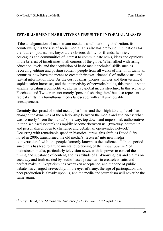#### **ESTABLISHMENT NARRATIVES VERSUS THE INFORMAL MASSES**

–––––––––––––––––––––––––––––––––––––––––––––––––––––––––––––––––––––––––––––––––––

If the amalgamation of mainstream media is a hallmark of globalization, its counterweight is the rise of social media. This also has profound implications for the future of journalism, beyond the obvious ability for friends, families, colleagues and communities of interest to communicate news, ideas and opinions in the briefest of timeframes to all corners of the globe. When allied with rising education levels, and the acquisition of basic media technical skills such as recording, editing and posting content, people from all walks of life, in virtually all countries, now have the means to create their own 'channels' of audio-visual and textual information flow. As the cost of smart phones tumbles and their technical sophistication increases, and the interactivity of networks builds, this trend is set to amplify, creating a competitive, alternative global media structure. In this scenario, Facebook and Twitter are not merely 'personal sharing sites' but also represent radical shifts in a tumultuous media landscape, with still unknowable consequences.

Certainly the spread of social media platforms and their high take-up levels has changed the dynamics of the relationship between the media and audiences: what was formerly 'from them to us' (one-way, top down and impersonal, authoritative in tone, a closed system) has rapidly become 'between us' (two-way, bottom up and personalized, open to challenge and debate, an open-ended network). Occurring with remarkable speed in historical terms, this shift, as David Sifry noted in 2006, transformed the old media's 'lectures' into new media 'conversations' with 'the people formerly known as the audience'.[30](#page-20-0) In the period since, this has lead to a fundamental questioning of the *modus operandi* of mainstream media, particularly television news, with its power to control the timing and substance of content, and its attitude of all-knowingness and claims on accuracy and truth carried by studio-based presenters in creaseless suits and perfect makeup. Skepticism has overtaken acceptance, and the tone of public debate has changed irrevocably. In the eyes of many, the age of participation and peer production is already upon us, and the media and journalism will never be the same again.

–––––––––––––––––––––––––––––––––––––––––––––––––––––––––––––––––––––––––––––––––––

<span id="page-20-0"></span><sup>30</sup> Sifry, David, q.v. 'Among the Audience,' *The Economist*, 22 April 2006.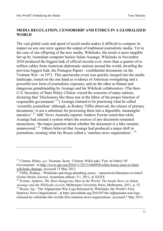#### **MEDIA REGULATION, CENSORSHIP AND ETHICS IN A GLOBALIZED WORLD**

–––––––––––––––––––––––––––––––––––––––––––––––––––––––––––––––––––––––––––––––––––

The vast global scale and speed of social media makes it difficult to compare its impact on any one story against the output of traditional journalistic media. Yet in the case of one offspring of the new media, Wikileaks, the result is more tangible. Set up by Australian computer hacker Julian Assange, Wikileaks in November 2010 produced the biggest leak of official records ever: more than a quarter-of-amillion cables from American diplomatic stations around the world, dwarfing the previous biggest leak, the Pentagon Papers - confidential documents on the Vietnam War - in 1971. This spectacular event was quickly merged into the media landscape, touted on the one hand as evidence of American wrongdoing and a powerful new form of journalistic exposure, and on the other as blatant and dangerous grandstanding by Assange and his Wikileak collaborators. (The then-U.S. Secretary of State Hilary Clinton voiced the concerns of many nations, declaring that 'Disclosures like these tear at the fabric of the proper function of responsible government.'[31](#page-21-0)) Assange claimed to be practicing what he called 'scientific journalism' although, as Rodney Tiffin observed, the release of primary documents 'is not a substitute for processing them into a digestible, meaningful narrative'.<sup>[32](#page-21-1)</sup> ABC News Australia reporter Andrew Fowler noted that while Assange had created a system where the sources of any document remained anonymous, 'the major question about whether the document is a fake remains unanswered.<sup>[33](#page-21-2)</sup> Others believed that Assange had produced a major shift in journalism, creating what Jay Rosen called a 'stateless news organization'. [34](#page-21-3)

<span id="page-21-0"></span><sup>&</sup>lt;sup>31</sup> Clinton, Hilary, q.v. Neuman, Scott, 'Clinton: WikiLeaks 'Tear At Fabric' Of Government', at http://www.npr.org/2010/11/29/131668950/white-house-aims-to-limit-<br>wikileaks-damage, accessed 15 May 2013.

<span id="page-21-1"></span> $\frac{32 \text{ Tiffin}}{100}$ , Wikileaks and mega-plumbing issues – unresolved dilemmas revisited', Global Media Journal. Australian edition, 5:1, 2011, at XXXX

<span id="page-21-2"></span><sup>&</sup>lt;sup>33</sup> Fowler, Andrew, *The Most Dangerous Man in the World: The Inside Story on Julian Assange and the Wikileaks secrets, Melbourne University Press, Melbourne, 2011, p. 53.* 

<span id="page-21-3"></span><sup>&</sup>lt;sup>34</sup> Rosen, Jay, 'The Afghanistan War Logs Released by Wikileaks, the World's First Stateless News Organization', at http://pressthink.org/2010/07/the-afghanistan-war-logsreleased-by-wikileaks-the-worlds-first-stateless-news-organization/, accessed 7 May 2013.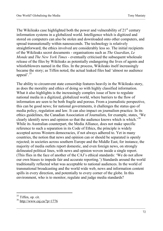The Wikileaks case highlighted both the power and vulnerability of  $21<sup>st</sup>$  century information systems in a globalized world. Intelligence which is digitized and stored on computers can also be stolen and downloaded onto other computers, and spread transnationally within nanoseconds. The technology is relatively straightforward; the ethics involved are considerably less so. The initial recipients of the Wikileaks secret documents - organisations such as *The Guardian*, *Le Monde* and *The New York Times* - eventually criticised the subsequent wholesale release of the files by Wikileaks as potentially endangering the lives of agents and whistleblowers named in the files. In the process, Wikileaks itself increasingly became the story; as Tiffen noted, the actual leaked files had 'almost no audience appeal'.<sup>[35](#page-22-0)</sup>

–––––––––––––––––––––––––––––––––––––––––––––––––––––––––––––––––––––––––––––––––––

The ability to circumvent state censorship features heavily in the Wikileaks story, as does the morality and ethics of doing so with highly classified information. What it also highlights is the increasingly complex issue of how to regulate national media in a digitized, globalized world, where barriers to the flow of information are seen to be both fragile and porous. From a journalistic perspective, this can be good news; for national governments, it challenges the status quo of media policy, regulation and law. It can also impact on journalism practice. In its ethics guidelines, the Canadian Association of Journalists, for example, states, 'We clearly identify news and opinion so that the audience knows which is which.'[36](#page-22-1) While its Australian counterpart, the Media Alliance, does not make specific reference to such a separation in its Code of Ethics, the principle is widely accepted across Western democracies, if not always adhered to. Yet in many countries, the notion that news and opinion can or should be separated is openly rejected; in societies across southern Europe and the Middle East, for instance, the majority of media outlets report domestic, and even foreign news, on strongly delineated political lines, with news and opinion woven inside a single report. (This flies in the face of another of the CAJ's ethical standards: 'We do not allow our own biases to impede fair and accurate reporting.') Standards around the world traditionally reflected what was acceptable to national audiences. In the world of transnational broadcasting and the world wide web, news and information content spills in every direction, and potentially to every corner of the globe. In this environment, who is to monitor, regulate and judge media standards?

<span id="page-22-0"></span><sup>&</sup>lt;sup>35</sup> Tiffen, op. cit.

<span id="page-22-1"></span> $36$  <http://www.caj.ca/?p=1776>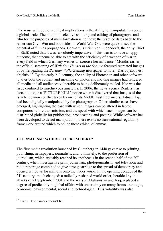One issue with obvious ethical implications is the ability to manipulate images on a global scale. The notion of selective shooting and editing of photographs and film for the purposes of misinformation is not new; the practice dates back to the American Civil War and both sides in World War One were quick to see the potential of film as propaganda. Germany's Erich von Ludendorff, the army Chief of Staff, noted that it was 'absolutely imperative, if this war is to have a happy outcome, that cinema be able to act with the efficiency of a weapon of war in every field in which Germany wishes to exercise her influence.' Months earlier, the official screening of *With Our Heroes in the Somme* featured recreated images of battle, leading the *Berliner Volks-Zeitung* newspaper to note: 'Das objektiv est objektiv.' $37$  By the early  $21<sup>st</sup>$  century, the ability of Photoshop and other software to alter both the content and meaning of photos and moving images had rendered all media and all audiences vulnerable to being deliberately misled. Nor was the issue confined to mischievous amateurs. In 2006, the news agency Reuters was forced to issue a 'PICTURE KILL' notice when it discovered that images of the Israel-Lebanon conflict taken by one of its Middle East freelancers, Adnan Hajj, had been digitally manipulated by the photographer. Other, similar cases have emerged, highlighting the ease with which images can be altered in laptop computers before transmission, and the speed with which such images can be distributed globally for publication, broadcasting and posting. While software has been developed to detect manipulation, there exists no transnational regulatory framework around which to police these ethical dilemmas.

–––––––––––––––––––––––––––––––––––––––––––––––––––––––––––––––––––––––––––––––––––

#### **JOURNALISM: WHERE TO FROM HERE?**

The first media revolution launched by Gutenberg in 1448 gave rise to printing, publishing, newspapers, journalists, and, ultimately, to the profession of journalism, which arguably reached its apotheosis in the second half of the 20<sup>th</sup> century, when investigative print journalism, photojournalism, and television and radio reportage combined to give strong carriage to the spread of democracy and opened windows for millions onto the wider world. In the opening decades of the 2<sup>1st</sup> century, much changed: a radically reshaped world order, heralded by the attacks of 21 September 2001 and the wars in Afghanistan and Iraq, replaced a degree of predictably in global affairs with uncertainty on many fronts - strategic, economic, environmental, social and technological. This volatility was also

<span id="page-23-0"></span> $\overline{a}$ <sup>37</sup> Trans. 'The camera doesn't lie.'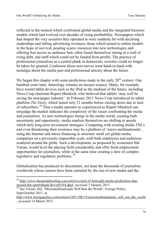reflected in the turmoil which confronted global media and the integrated business models which had evolved over decades of rising profitability. Newspapers which had shaped the very societies they operated in were suddenly hit with declining readerships and falling advertising revenues; those which turned to online models in the hope of survival, pouring scarce resources into new technologies and offering free access as audience bait, often found themselves staring at a wall of rising debt, and staff which could not be funded from profits. The practice of professional journalism as a central plank in democratic societies could no longer be taken for granted. Confusion about next moves went hand-in-hand with nostalgia about the media past and professional anxiety about the future.

–––––––––––––––––––––––––––––––––––––––––––––––––––––––––––––––––––––––––––––––––––

We began this chapter with some predictions made in the early  $20<sup>th</sup>$  century. One hundred years later, futurology remains an inexact science. Many, for example, have touted tablet devices such as the iPad as the medium of the future, including News Corp chairman Rupert Murdoch, who believed that tablets 'may well be saving the newspaper industry'. In February 2011 News Corp introduced its tablet platform *The Daily*, which lasted only 21 months before closing down due to lack of subscribers.[38](#page-24-0) That a media operator as experienced as Rupert Murdoch can misjudge the market indicates the complexity of the issues confronting the media and journalism. As new technologies merge in the media world, creating both uncertainty and opportunity, media markets themselves are shifting at speeds which defy long-term investment strategies. Competing with existing media TNCs and even threatening their existence may be a plethora of 'micro-multinationals', using the Internet and micro-financing to structure small yet global media companies on a previously impossible scale, with both employees and audiences scattered around the globe. Such a development, as proposed by economist Hal Varian, would level the playing field considerably and offer fresh employment opportunities for journalists, while at the same time creating a slew of complex legislative and regulatory problems.<sup>[39](#page-24-1)</sup>

Globalization has produced its discontents, not least the thousands of journalists worldwide whose careers have been curtailed by the rise of new media and the

<span id="page-24-0"></span><sup>&</sup>lt;sup>38</sup> [http://www.themediabriefing.com/article/a-lack-of-foresight-media-predictions-that](http://www.themediabriefing.com/article/a-lack-of-foresight-media-predictions-that-missed-the-spot#sthash.BxvuNyN4.dpuf)[missed-the-spot#sthash.BxvuNyN4.dpuf,](http://www.themediabriefing.com/article/a-lack-of-foresight-media-predictions-that-missed-the-spot#sthash.BxvuNyN4.dpuf) accessed 3 January 2013.<br><sup>39</sup> See Varian, Hal, 'Micromultinationals Will Run the World', Foreign Policy,

<span id="page-24-1"></span>Sept/October 2011, at

[http://www.foreignpolicy.com/articles/2011/08/15/micromultinationals\\_will\\_run\\_the\\_world](http://www.foreignpolicy.com/articles/2011/08/15/micromultinationals_will_run_the_world) , accessed 14 March 2013.